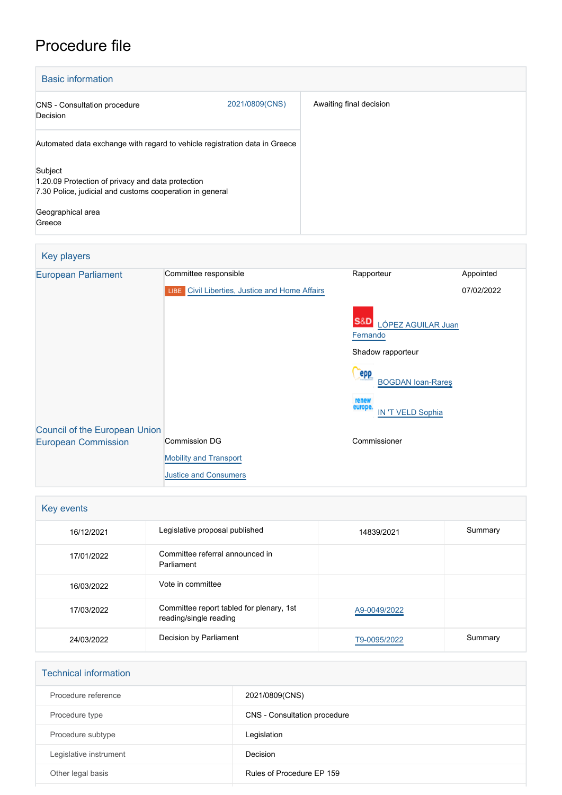## Procedure file

| <b>Basic information</b>                                                                                                                                |                |                         |
|---------------------------------------------------------------------------------------------------------------------------------------------------------|----------------|-------------------------|
| <b>CNS</b> - Consultation procedure<br>Decision                                                                                                         | 2021/0809(CNS) | Awaiting final decision |
| Automated data exchange with regard to vehicle registration data in Greece                                                                              |                |                         |
| Subject<br>1.20.09 Protection of privacy and data protection<br>7.30 Police, judicial and customs cooperation in general<br>Geographical area<br>Greece |                |                         |

## Key players [European Parliament](http://www.europarl.europa.eu/) Committee responsible Rapporteur Rapporteur Appointed **LIBE** [Civil Liberties, Justice and Home Affairs](http://www.europarl.europa.eu/committees/en/libe/home.html) S&D [LÓPEZ AGUILAR Juan](http://www.europarl.europa.eu/meps/en/96812) **[Fernando](http://www.europarl.europa.eu/meps/en/96812)** Shadow rapporteur Pepp<br>[BOGDAN Ioan-Rareş](http://www.europarl.europa.eu/meps/en/197636) [IN 'T VELD Sophia](http://www.europarl.europa.eu/meps/en/28266) 07/02/2022 [Council of the European Union](http://www.consilium.europa.eu) [European Commission](http://ec.europa.eu/) Commission DG **[Mobility and Transport](http://ec.europa.eu/info/departments/mobility-and-transport_en)** [Justice and Consumers](http://ec.europa.eu/info/departments/justice-and-consumers_en) Commissioner

| Key events |                                                                    |              |         |  |  |
|------------|--------------------------------------------------------------------|--------------|---------|--|--|
| 16/12/2021 | Legislative proposal published                                     | 14839/2021   | Summary |  |  |
| 17/01/2022 | Committee referral announced in<br>Parliament                      |              |         |  |  |
| 16/03/2022 | Vote in committee                                                  |              |         |  |  |
| 17/03/2022 | Committee report tabled for plenary, 1st<br>reading/single reading | A9-0049/2022 |         |  |  |
| 24/03/2022 | Decision by Parliament                                             | T9-0095/2022 | Summary |  |  |

| <b>Technical information</b> |                              |
|------------------------------|------------------------------|
| Procedure reference          | 2021/0809(CNS)               |
| Procedure type               | CNS - Consultation procedure |
| Procedure subtype            | Legislation                  |
| Legislative instrument       | Decision                     |
| Other legal basis            | Rules of Procedure EP 159    |